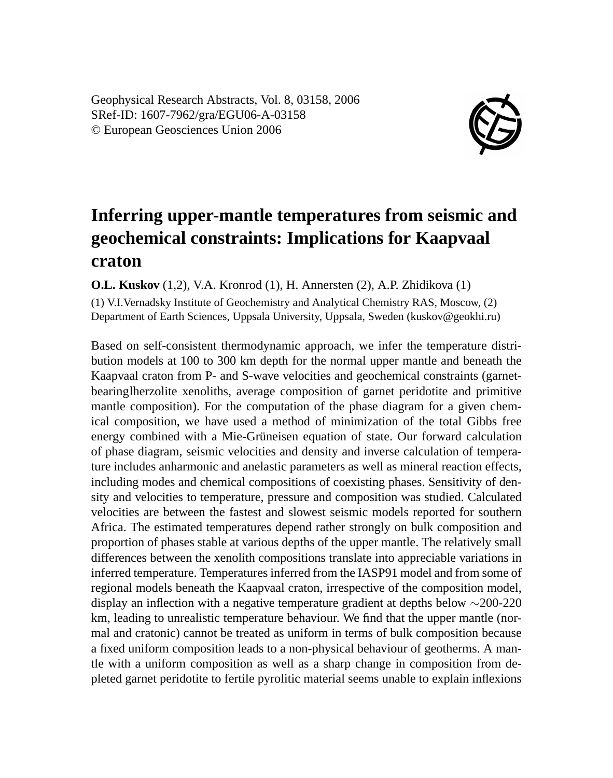Geophysical Research Abstracts, Vol. 8, 03158, 2006 SRef-ID: 1607-7962/gra/EGU06-A-03158 © European Geosciences Union 2006



## **Inferring upper-mantle temperatures from seismic and geochemical constraints: Implications for Kaapvaal craton**

**O.L. Kuskov** (1,2), V.A. Kronrod (1), H. Annersten (2), A.P. Zhidikova (1)

(1) V.I.Vernadsky Institute of Geochemistry and Analytical Chemistry RAS, Moscow, (2) Department of Earth Sciences, Uppsala University, Uppsala, Sweden (kuskov@geokhi.ru)

Based on self-consistent thermodynamic approach, we infer the temperature distribution models at 100 to 300 km depth for the normal upper mantle and beneath the Kaapvaal craton from P- and S-wave velocities and geochemical constraints (garnetbearinglherzolite xenoliths, average composition of garnet peridotite and primitive mantle composition). For the computation of the phase diagram for a given chemical composition, we have used a method of minimization of the total Gibbs free energy combined with a Mie-Grüneisen equation of state. Our forward calculation of phase diagram, seismic velocities and density and inverse calculation of temperature includes anharmonic and anelastic parameters as well as mineral reaction effects, including modes and chemical compositions of coexisting phases. Sensitivity of density and velocities to temperature, pressure and composition was studied. Calculated velocities are between the fastest and slowest seismic models reported for southern Africa. The estimated temperatures depend rather strongly on bulk composition and proportion of phases stable at various depths of the upper mantle. The relatively small differences between the xenolith compositions translate into appreciable variations in inferred temperature. Temperatures inferred from the IASP91 model and from some of regional models beneath the Kaapvaal craton, irrespective of the composition model, display an inflection with a negative temperature gradient at depths below ∼200-220 km, leading to unrealistic temperature behaviour. We find that the upper mantle (normal and cratonic) cannot be treated as uniform in terms of bulk composition because a fixed uniform composition leads to a non-physical behaviour of geotherms. A mantle with a uniform composition as well as a sharp change in composition from depleted garnet peridotite to fertile pyrolitic material seems unable to explain inflexions